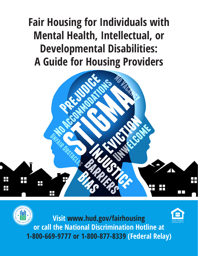**Fair Housing for Individuals with Mental Health, Intellectual, or Developmental Disabilities: A Guide for Housing Providers**



**Visit www.hud.gov/fairhousing or call the National Discrimination Hotline at 1-800-669-9777 or 1-800-877-8339 (Federal Relay)**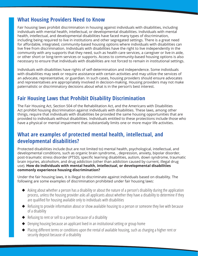#### **What Housing Providers Need to Know**

Fair housing laws prohibit discrimination in housing against individuals with disabilities, including individuals with mental health, intellectual, or developmental disabilities. Individuals with mental health, intellectual, and developmental disabilities have faced many types of discrimination, including being required to live in institutions and other segregated settings. There is a great need for affordable, integrated, community-based housing options where individuals with disabilities can live free from discrimination. Individuals with disabilities have the right to live independently in the community with any supports that they need, such as health care services, a caregiver or live-in aide, or other short or long-term services or supports. Access to community-based housing options is also necessary to ensure that individuals with disabilities are not forced to remain in institutional settings.

Individuals with disabilities have rights of self-determination and independence. Some individuals with disabilities may seek or require assistance with certain activities and may utilize the services of an advocate, representative, or guardian. In such cases, housing providers should ensure advocates and representatives are appropriately involved in decision-making. Housing providers may not make paternalistic or discriminatory decisions about what is in the person's best interest.

### **Fair Housing Laws that Prohibit Disability Discrimination**

The Fair Housing Act, Section 504 of the Rehabilitation Act, and the Americans with Disabilities Act prohibit housing discrimination against individuals with disabilities. These laws, among other things, require that individuals with disabilities be provided the same housing opportunities that are provided to individuals without disabilities. Individuals entitled to these protections include those who have a physical or mental impairment that substantially limits one or more major life activities.

#### **What are examples of protected mental health, intellectual, and developmental disabilities?**

Protected disabilities include (but are not limited to) mental health, psychological, intellectual, and developmental conditions, such as organic brain syndrome, , depression, anxiety, bipolar disorder, post-traumatic stress disorder (PTSD), specific learning disabilities, autism, down syndrome, traumatic brain injuries, alcoholism, and drug addiction (other than addiction caused by current, illegal drug use). **How do individuals with mental health, intellectual, or developmental disabilities commonly experience housing discrimination?**

Under the fair housing laws, it is illegal to discriminate against individuals based on disability. The following are some examples of discrimination prohibited under fair housing laws:

- ◆ Asking about whether a person has a disability or about the nature of a person's disability during the application process, unless the housing provider asks all applicants about whether they have a disability to determine if they are qualified for housing available only to individuals with disabilities
- ◆ Refusing to provide information about or show available housing to a person or someone they live with because of a disability
- ◆ Refusing to rent or sell to a person because of a disability
- Denying housing because an applicant lived in an institutional setting or group home
- ◆ Placing different terms or conditions upon the rental of available housing, such as charging a higher rent or security deposit because of a disability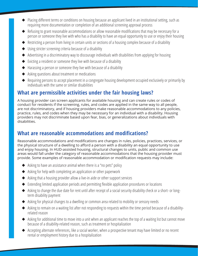- Placing different terms or conditions on housing because an applicant lived in an institutional setting, such as requiring more documentation or completion of an additional screening approval process
- ◆ Refusing to grant reasonable accommodations or allow reasonable modifications that may be necessary for a person or someone they live with who has a disability to have an equal opportunity to use or enjoy their housing
- ◆ Restricting a person from living in certain units or sections of a housing complex because of a disability
- ◆ Using stricter screening criteria because of a disability
- ◆ Advertising in a discriminatory way to discourage individuals with disabilities from applying for housing
- ◆ Evicting a resident or someone they live with because of a disability
- ◆ Harassing a person or someone they live with because of a disability
- ◆ Asking questions about treatment or medications
- ◆ Requiring persons to accept placement in a congregate housing development occupied exclusively or primarily by individuals with the same or similar disabilities

## **What are permissible activities under the fair housing laws?**

A housing provider can screen applicants for available housing and can create rules or codes of conduct for residents if the screening, rules, and codes are applied in the same way to all people, are not discriminatory, and if housing providers make reasonable accommodations to any policies, practice, rules, and codes when they may be necessary for an individual with a disability. Housing providers may not discriminate based upon fear, bias, or generalizations about individuals with disabilities.

## **What are reasonable accommodations and modifications?**

Reasonable accommodations and modifications are changes in rules, policies, practices, services, or the physical structure of a dwelling to afford a person with a disability an equal opportunity to use and enjoy housing. In HUD-assisted housing, structural changes to units, public and common use areas would fall under the category of reasonable accommodations that the housing provider must provide. Some examples of reasonable accommodation or modification requests may include:

- $\blacklozenge$  Asking to have an assistance animal when there is a "no pets" policy
- ◆ Asking for help with completing an application or other paperwork
- ◆ Asking that a housing provider allow a live-in aide or other support services
- ◆ Extending limited application periods and permitting flexible application procedures or locations
- ◆ Asking to change the due date for rent until after receipt of a social security disability check or a short- or longterm disability payment
- ◆ Asking for physical changes to a dwelling or common area related to mobility or sensory needs
- ◆ Asking to remain on a waiting list after not responding to requests within the time period because of a disabilityrelated reason
- ◆ Asking for additional time to move into a unit when an applicant reaches the top of a waiting list but cannot move because of a disability-related reason, such as treatment or hospitalization
- ◆ Accepting alternate references, like a social worker, when a prospective tenant may have limited or no recent rental or employment history due to a hospitalization